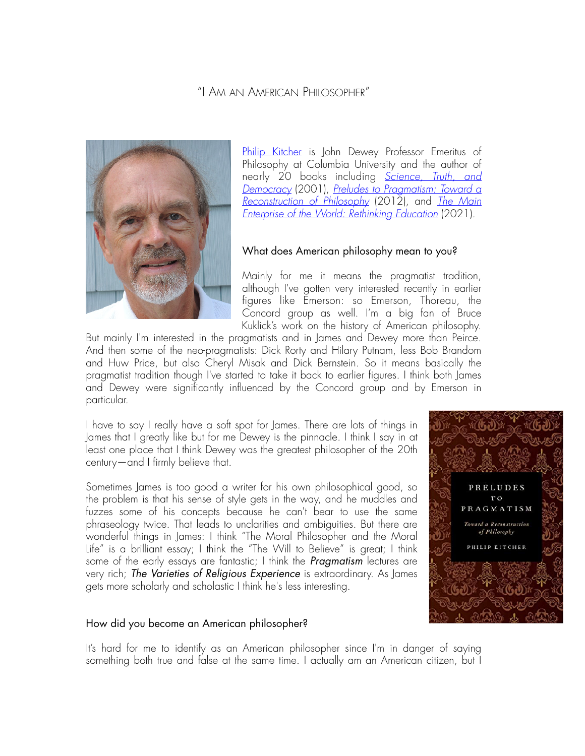# "I AM AN AMERICAN PHILOSOPHER"



[Philip Kitcher](https://philosophy.columbia.edu/content/philip-kitcher) is John Dewey Professor Emeritus of Philosophy at Columbia University and the author of nearly 20 books including *[Science, Truth, and](https://oxford.universitypressscholarship.com/view/10.1093/0195145836.001.0001/acprof-9780195145830)  [Democracy](https://oxford.universitypressscholarship.com/view/10.1093/0195145836.001.0001/acprof-9780195145830)* (2001), *[Preludes to Pragmatism: Toward a](https://oxford.universitypressscholarship.com/view/10.1093/acprof:oso/9780199899555.001.0001/acprof-9780199899555) [Reconstruction of Philosophy](https://oxford.universitypressscholarship.com/view/10.1093/acprof:oso/9780199899555.001.0001/acprof-9780199899555)* (2012), and *[The Main](https://global.oup.com/academic/product/the-main-enterprise-of-the-world-9780190928971?cc=us&lang=en&)  [Enterprise of the World: Rethinking Education](https://global.oup.com/academic/product/the-main-enterprise-of-the-world-9780190928971?cc=us&lang=en&)* (2021).

### What does American philosophy mean to you?

Mainly for me it means the pragmatist tradition, although I've gotten very interested recently in earlier figures like Emerson: so Emerson, Thoreau, the Concord group as well. I'm a big fan of Bruce Kuklick's work on the history of American philosophy.

But mainly I'm interested in the pragmatists and in James and Dewey more than Peirce. And then some of the neo-pragmatists: Dick Rorty and Hilary Putnam, less Bob Brandom and Huw Price, but also Cheryl Misak and Dick Bernstein. So it means basically the pragmatist tradition though I've started to take it back to earlier figures. I think both James and Dewey were significantly influenced by the Concord group and by Emerson in particular.

I have to say I really have a soft spot for James. There are lots of things in James that I greatly like but for me Dewey is the pinnacle. I think I say in at least one place that I think Dewey was the greatest philosopher of the 20th century—and I firmly believe that.

Sometimes James is too good a writer for his own philosophical good, so the problem is that his sense of style gets in the way, and he muddles and fuzzes some of his concepts because he can't bear to use the same phraseology twice. That leads to unclarities and ambiguities. But there are wonderful things in James: I think "The Moral Philosopher and the Moral Life" is a brilliant essay; I think the "The Will to Believe" is great; I think some of the early essays are fantastic; I think the *Pragmatism* lectures are very rich; *The Varieties of Religious Experience* is extraordinary. As James gets more scholarly and scholastic I think he's less interesting.



### How did you become an American philosopher?

It's hard for me to identify as an American philosopher since I'm in danger of saying something both true and false at the same time. I actually am an American citizen, but I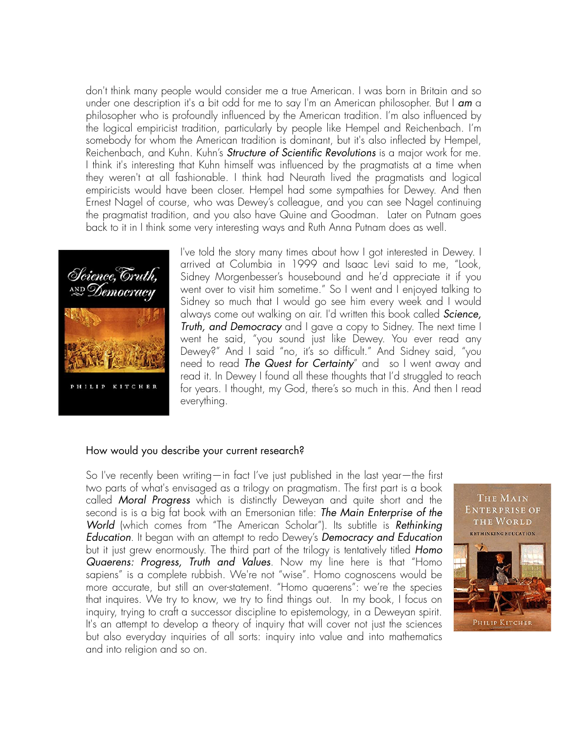don't think many people would consider me a true American. I was born in Britain and so under one description it's a bit odd for me to say I'm an American philosopher. But I *am* a philosopher who is profoundly influenced by the American tradition. I'm also influenced by the logical empiricist tradition, particularly by people like Hempel and Reichenbach. I'm somebody for whom the American tradition is dominant, but it's also inflected by Hempel, Reichenbach, and Kuhn. Kuhn's *Structure of Scienti*fi*c Revolutions* is a major work for me. I think it's interesting that Kuhn himself was influenced by the pragmatists at a time when they weren't at all fashionable. I think had Neurath lived the pragmatists and logical empiricists would have been closer. Hempel had some sympathies for Dewey. And then Ernest Nagel of course, who was Dewey's colleague, and you can see Nagel continuing the pragmatist tradition, and you also have Quine and Goodman. Later on Putnam goes back to it in I think some very interesting ways and Ruth Anna Putnam does as well.



I've told the story many times about how I got interested in Dewey. I arrived at Columbia in 1999 and Isaac Levi said to me, "Look, Sidney Morgenbesser's housebound and he'd appreciate it if you went over to visit him sometime." So I went and I enjoyed talking to Sidney so much that I would go see him every week and I would always come out walking on air. I'd written this book called *Science, Truth, and Democracy* and I gave a copy to Sidney. The next time I went he said, "you sound just like Dewey. You ever read any Dewey?" And I said "no, it's so difficult." And Sidney said, "you need to read *The Quest for Certainty*" and so I went away and read it. In Dewey I found all these thoughts that I'd struggled to reach for years. I thought, my God, there's so much in this. And then I read everything.

#### How would you describe your current research?

So I've recently been writing—in fact I've just published in the last year—the first two parts of what's envisaged as a trilogy on pragmatism. The first part is a book called *Moral Progress* which is distinctly Deweyan and quite short and the second is is a big fat book with an Emersonian title: *The Main Enterprise of the World* (which comes from "The American Scholar"). Its subtitle is *Rethinking Education*. It began with an attempt to redo Dewey's *Democracy and Education* but it just grew enormously. The third part of the trilogy is tentatively titled *Homo Quaerens: Progress, Truth and Values*. Now my line here is that "Homo sapiens" is a complete rubbish. We're not "wise". Homo cognoscens would be more accurate, but still an over-statement. "Homo quaerens": we're the species that inquires. We try to know, we try to find things out. In my book, I focus on inquiry, trying to craft a successor discipline to epistemology, in a Deweyan spirit. It's an attempt to develop a theory of inquiry that will cover not just the sciences but also everyday inquiries of all sorts: inquiry into value and into mathematics and into religion and so on.